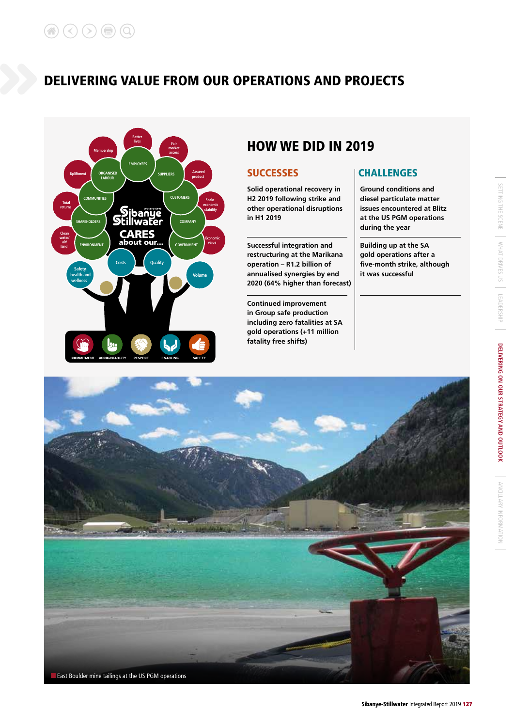

# HOW WE DID IN 2019

**Solid operational recovery in H2 2019 following strike and other operational disruptions in H1 2019** 

**Successful integration and restructuring at the Marikana operation – R1.2 billion of annualised synergies by end 2020 (64% higher than forecast)**

**Continued improvement in Group safe production including zero fatalities at SA gold operations (+11 million fatality free shifts)**

# SUCCESSES | CHALLENGES

**Ground conditions and diesel particulate matter issues encountered at Blitz at the US PGM operations during the year**

**Building up at the SA gold operations after a five-month strike, although it was successful**

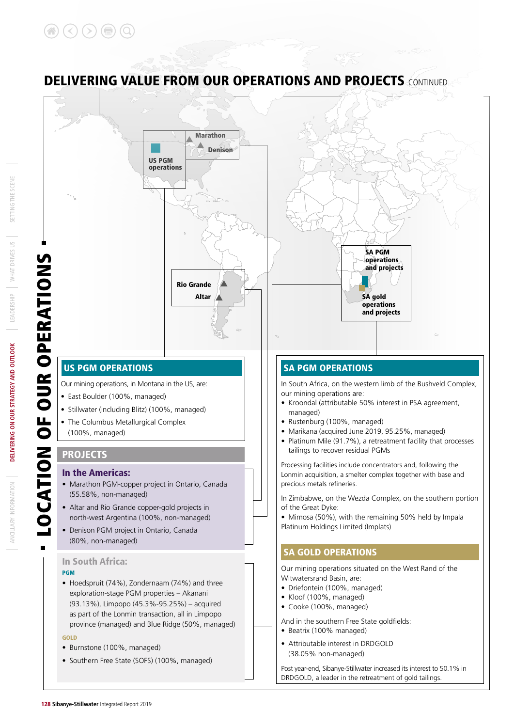### Marathon Denison US PGM operations SA PGM LOCATION OF OUR OPERATIONS operations **OUR OPERATION!** and projects Rio Grande Altar SA gold operations and projects US PGM OPERATIONS SA PGM OPERATIONS Our mining operations, in Montana in the US, are: In South Africa, on the western limb of the Bushveld Complex, our mining operations are: • East Boulder (100%, managed) • Kroondal (attributable 50% interest in PSA agreement, • Stillwater (including Blitz) (100%, managed) managed) • The Columbus Metallurgical Complex • Rustenburg (100%, managed) • Marikana (acquired June 2019, 95.25%, managed) (100%, managed) • Platinum Mile (91.7%), a retreatment facility that processes tailings to recover residual PGMs **PROJECTS** Processing facilities include concentrators and, following the In the Americas: Lonmin acquisition, a smelter complex together with base and • Marathon PGM-copper project in Ontario, Canada precious metals refineries. (55.58%, non-managed) In Zimbabwe, on the Wezda Complex, on the southern portion • Altar and Rio Grande copper-gold projects in of the Great Dyke: • Mimosa (50%), with the remaining 50% held by Impala north-west Argentina (100%, non-managed) Platinum Holdings Limited (Implats) • Denison PGM project in Ontario, Canada (80%, non-managed) SA GOLD OPERATIONS In South Africa: Our mining operations situated on the West Rand of the PGM Witwatersrand Basin, are: • Hoedspruit (74%), Zondernaam (74%) and three • Driefontein (100%, managed) exploration-stage PGM properties – Akanani • Kloof (100%, managed) (93.13%), Limpopo (45.3%-95.25%) – acquired • Cooke (100%, managed) as part of the Lonmin transaction, all in Limpopo And in the southern Free State goldfields: province (managed) and Blue Ridge (50%, managed) • Beatrix (100% managed) GOLD • Attributable interest in DRDGOLD • Burnstone (100%, managed) (38.05% non-managed)

**DELIVERING VALUE FROM OUR OPERATIONS AND PROJECTS CONTINUED** 

## • Southern Free State (SOFS) (100%, managed)

Post year-end, Sibanye-Stillwater increased its interest to 50.1% in DRDGOLD, a leader in the retreatment of gold tailings.

# $\overline{c}$

*ANCILLARY INFORMATION*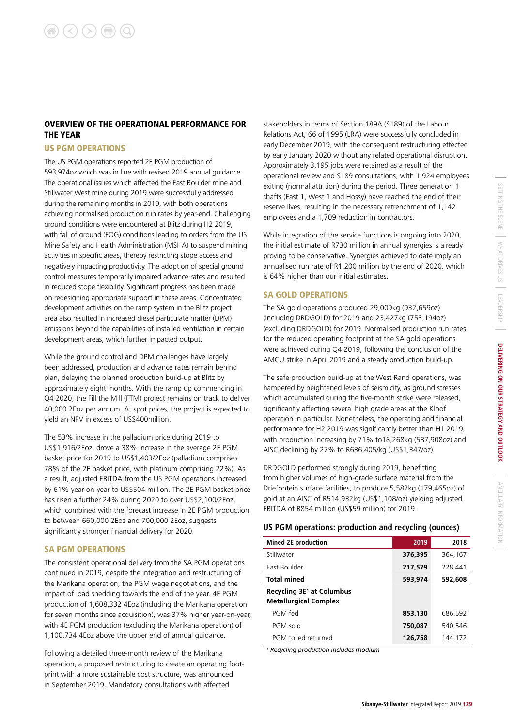### OVERVIEW OF THE OPERATIONAL PERFORMANCE FOR THE YEAR

### US PGM OPERATIONS

The US PGM operations reported 2E PGM production of 593,974oz which was in line with revised 2019 annual guidance. The operational issues which affected the East Boulder mine and Stillwater West mine during 2019 were successfully addressed during the remaining months in 2019, with both operations achieving normalised production run rates by year-end. Challenging ground conditions were encountered at Blitz during H2 2019, with fall of ground (FOG) conditions leading to orders from the US Mine Safety and Health Administration (MSHA) to suspend mining activities in specific areas, thereby restricting stope access and negatively impacting productivity. The adoption of special ground control measures temporarily impaired advance rates and resulted in reduced stope flexibility. Significant progress has been made on redesigning appropriate support in these areas. Concentrated development activities on the ramp system in the Blitz project area also resulted in increased diesel particulate matter (DPM) emissions beyond the capabilities of installed ventilation in certain development areas, which further impacted output.

While the ground control and DPM challenges have largely been addressed, production and advance rates remain behind plan, delaying the planned production build-up at Blitz by approximately eight months. With the ramp up commencing in Q4 2020, the Fill the Mill (FTM) project remains on track to deliver 40,000 2Eoz per annum. At spot prices, the project is expected to yield an NPV in excess of US\$400million.

The 53% increase in the palladium price during 2019 to US\$1,916/2Eoz, drove a 38% increase in the average 2E PGM basket price for 2019 to US\$1,403/2Eoz (palladium comprises 78% of the 2E basket price, with platinum comprising 22%). As a result, adjusted EBITDA from the US PGM operations increased by 61% year-on-year to US\$504 million. The 2E PGM basket price has risen a further 24% during 2020 to over US\$2,100/2Eoz, which combined with the forecast increase in 2E PGM production to between 660,000 2Eoz and 700,000 2Eoz, suggests significantly stronger financial delivery for 2020.

### SA PGM OPERATIONS

The consistent operational delivery from the SA PGM operations continued in 2019, despite the integration and restructuring of the Marikana operation, the PGM wage negotiations, and the impact of load shedding towards the end of the year. 4E PGM production of 1,608,332 4Eoz (including the Marikana operation for seven months since acquisition), was 37% higher year-on-year, with 4E PGM production (excluding the Marikana operation) of 1,100,734 4Eoz above the upper end of annual guidance.

Following a detailed three-month review of the Marikana operation, a proposed restructuring to create an operating footprint with a more sustainable cost structure, was announced in September 2019. Mandatory consultations with affected

stakeholders in terms of Section 189A (S189) of the Labour Relations Act, 66 of 1995 (LRA) were successfully concluded in early December 2019, with the consequent restructuring effected by early January 2020 without any related operational disruption. Approximately 3,195 jobs were retained as a result of the operational review and S189 consultations, with 1,924 employees exiting (normal attrition) during the period. Three generation 1 shafts (East 1, West 1 and Hossy) have reached the end of their reserve lives, resulting in the necessary retrenchment of 1,142 employees and a 1,709 reduction in contractors.

While integration of the service functions is ongoing into 2020, the initial estimate of R730 million in annual synergies is already proving to be conservative. Synergies achieved to date imply an annualised run rate of R1,200 million by the end of 2020, which is 64% higher than our initial estimates.

### SA GOLD OPERATIONS

The SA gold operations produced 29,009kg (932,659oz) (Including DRDGOLD) for 2019 and 23,427kg (753,194oz) (excluding DRDGOLD) for 2019. Normalised production run rates for the reduced operating footprint at the SA gold operations were achieved during Q4 2019, following the conclusion of the AMCU strike in April 2019 and a steady production build-up.

The safe production build-up at the West Rand operations, was hampered by heightened levels of seismicity, as ground stresses which accumulated during the five-month strike were released, significantly affecting several high grade areas at the Kloof operation in particular. Nonetheless, the operating and financial performance for H2 2019 was significantly better than H1 2019, with production increasing by 71% to18,268kg (587,908oz) and AISC declining by 27% to R636,405/kg (US\$1,347/oz).

DRDGOLD performed strongly during 2019, benefitting from higher volumes of high-grade surface material from the Driefontein surface facilities, to produce 5,582kg (179,465oz) of gold at an AISC of R514,932kg (US\$1,108/oz) yielding adjusted EBITDA of R854 million (US\$59 million) for 2019.

### **US PGM operations: production and recycling (ounces)**

| <b>Mined 2E production</b>                                            | 2019    | 2018    |
|-----------------------------------------------------------------------|---------|---------|
| Stillwater                                                            | 376,395 | 364,167 |
| East Boulder                                                          | 217,579 | 228,441 |
| <b>Total mined</b>                                                    | 593,974 | 592,608 |
| Recycling 3E <sup>1</sup> at Columbus<br><b>Metallurgical Complex</b> |         |         |
| PGM fed                                                               | 853,130 | 686,592 |
| PGM sold                                                              | 750,087 | 540.546 |
| PGM tolled returned                                                   | 126.758 | 144.172 |

*1 Recycling production includes rhodium*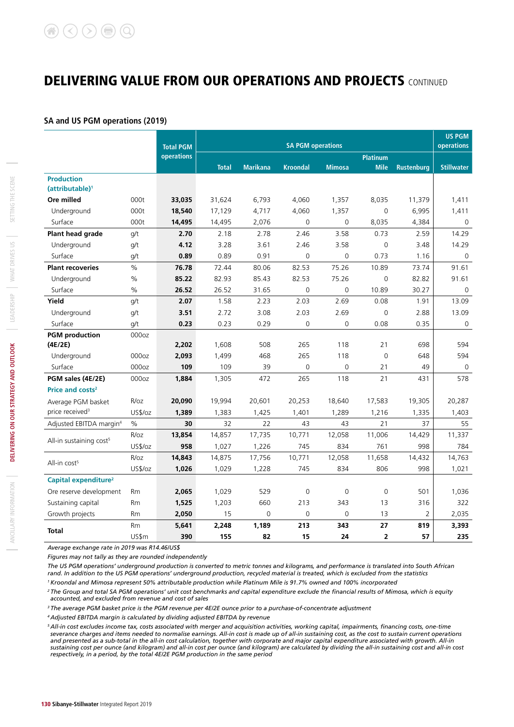### **SA and US PGM operations (2019)**

|                                     |                   | <b>Total PGM</b>  |              |                 | <b>SA PGM operations</b> |                |                 |                   | <b>US PGM</b><br>operations |
|-------------------------------------|-------------------|-------------------|--------------|-----------------|--------------------------|----------------|-----------------|-------------------|-----------------------------|
|                                     |                   | <b>operations</b> |              |                 |                          |                | <b>Platinum</b> |                   |                             |
|                                     |                   |                   | <b>Total</b> | <b>Marikana</b> | <b>Kroondal</b>          | <b>Mimosa</b>  | <b>Mile</b>     | <b>Rustenburg</b> | <b>Stillwater</b>           |
| <b>Production</b>                   |                   |                   |              |                 |                          |                |                 |                   |                             |
| (attributable) <sup>1</sup>         |                   |                   |              |                 |                          |                |                 |                   |                             |
| Ore milled                          | 000t              | 33,035            | 31,624       | 6,793           | 4,060                    | 1,357          | 8,035           | 11,379            | 1,411                       |
| Underground                         | 000t              | 18,540            | 17,129       | 4,717           | 4,060                    | 1,357          | $\overline{0}$  | 6,995             | 1,411                       |
| Surface                             | 000t              | 14,495            | 14,495       | 2,076           | $\Omega$                 | $\Omega$       | 8,035           | 4,384             | $\mathbf 0$                 |
| Plant head grade                    | g/t               | 2.70              | 2.18         | 2.78            | 2.46                     | 3.58           | 0.73            | 2.59              | 14.29                       |
| Underground                         | q/t               | 4.12              | 3.28         | 3.61            | 2.46                     | 3.58           | $\overline{0}$  | 3.48              | 14.29                       |
| Surface                             | q/t               | 0.89              | 0.89         | 0.91            | $\overline{0}$           | $\overline{0}$ | 0.73            | 1.16              | $\mathbf 0$                 |
| <b>Plant recoveries</b>             | $\%$              | 76.78             | 72.44        | 80.06           | 82.53                    | 75.26          | 10.89           | 73.74             | 91.61                       |
| Underground                         | %                 | 85.22             | 82.93        | 85.43           | 82.53                    | 75.26          | $\overline{0}$  | 82.82             | 91.61                       |
| Surface                             | $\%$              | 26.52             | 26.52        | 31.65           | $\overline{0}$           | $\Omega$       | 10.89           | 30.27             | $\mathbf 0$                 |
| Yield                               | q/t               | 2.07              | 1.58         | 2.23            | 2.03                     | 2.69           | 0.08            | 1.91              | 13.09                       |
| Underground                         | q/t               | 3.51              | 2.72         | 3.08            | 2.03                     | 2.69           | $\overline{0}$  | 2.88              | 13.09                       |
| Surface                             | q/t               | 0.23              | 0.23         | 0.29            | $\overline{0}$           | $\Omega$       | 0.08            | 0.35              | $\mathbf 0$                 |
| <b>PGM</b> production               | 000oz             |                   |              |                 |                          |                |                 |                   |                             |
| (4E/2E)                             |                   | 2,202             | 1,608        | 508             | 265                      | 118            | 21              | 698               | 594                         |
| Underground                         | 000 <sub>oz</sub> | 2,093             | 1,499        | 468             | 265                      | 118            | $\mathbf 0$     | 648               | 594                         |
| Surface                             | 000oz             | 109               | 109          | 39              | $\overline{0}$           | $\Omega$       | 21              | 49                | $\mathbf 0$                 |
| PGM sales (4E/2E)                   | 000oz             | 1,884             | 1,305        | 472             | 265                      | 118            | 21              | 431               | 578                         |
| Price and costs <sup>2</sup>        |                   |                   |              |                 |                          |                |                 |                   |                             |
| Average PGM basket                  | R/oz              | 20,090            | 19,994       | 20,601          | 20,253                   | 18,640         | 17,583          | 19,305            | 20,287                      |
| price received <sup>3</sup>         | US\$/oz           | 1,389             | 1,383        | 1,425           | 1,401                    | 1,289          | 1,216           | 1,335             | 1,403                       |
| Adjusted EBITDA margin <sup>4</sup> | $\frac{0}{0}$     | 30                | 32           | 22              | 43                       | 43             | 21              | 37                | 55                          |
|                                     | R/oz              | 13,854            | 14,857       | 17,735          | 10,771                   | 12,058         | 11,006          | 14,429            | 11,337                      |
| All-in sustaining cost <sup>5</sup> | US\$/oz           | 958               | 1,027        | 1,226           | 745                      | 834            | 761             | 998               | 784                         |
|                                     | R/oz              | 14,843            | 14,875       | 17,756          | 10,771                   | 12,058         | 11,658          | 14,432            | 14,763                      |
| All-in cost <sup>5</sup>            | US\$/oz           | 1,026             | 1,029        | 1,228           | 745                      | 834            | 806             | 998               | 1,021                       |
| Capital expenditure <sup>2</sup>    |                   |                   |              |                 |                          |                |                 |                   |                             |
| Ore reserve development             | Rm                | 2,065             | 1,029        | 529             | $\overline{0}$           | 0              | $\overline{0}$  | 501               | 1,036                       |
| Sustaining capital                  | <b>Rm</b>         | 1,525             | 1,203        | 660             | 213                      | 343            | 13              | 316               | 322                         |
| Growth projects                     | Rm                | 2,050             | 15           | 0               | 0                        | 0              | 13              | 2                 | 2,035                       |
|                                     | <b>Rm</b>         | 5,641             | 2,248        | 1,189           | 213                      | 343            | 27              | 819               | 3,393                       |
| <b>Total</b>                        | US\$m             | 390               | 155          | 82              | 15                       | 24             | 2               | 57                | 235                         |

*Average exchange rate in 2019 was R14.46/US\$*

*Figures may not tally as they are rounded independently*

*The US PGM operations' underground production is converted to metric tonnes and kilograms, and performance is translated into South African rand. In addition to the US PGM operations' underground production, recycled material is treated, which is excluded from the statistics 1 Kroondal and Mimosa represent 50% attributable production while Platinum Mile is 91.7% owned and 100% incorporated*

*2 The Group and total SA PGM operations' unit cost benchmarks and capital expenditure exclude the financial results of Mimosa, which is equity accounted, and excluded from revenue and cost of sales*

*3 The average PGM basket price is the PGM revenue per 4E/2E ounce prior to a purchase-of-concentrate adjustment* 

*4 Adjusted EBITDA margin is calculated by dividing adjusted EBITDA by revenue*

*5 All-in cost excludes income tax, costs associated with merger and acquisition activities, working capital, impairments, financing costs, one-time severance charges and items needed to normalise earnings. All-in cost is made up of all-in sustaining cost, as the cost to sustain current operations and presented as a sub-total in the all-in cost calculation, together with corporate and major capital expenditure associated with growth. All-in sustaining cost per ounce (and kilogram) and all-in cost per ounce (and kilogram) are calculated by dividing the all-in sustaining cost and all-in cost respectively, in a period, by the total 4E/2E PGM production in the same period*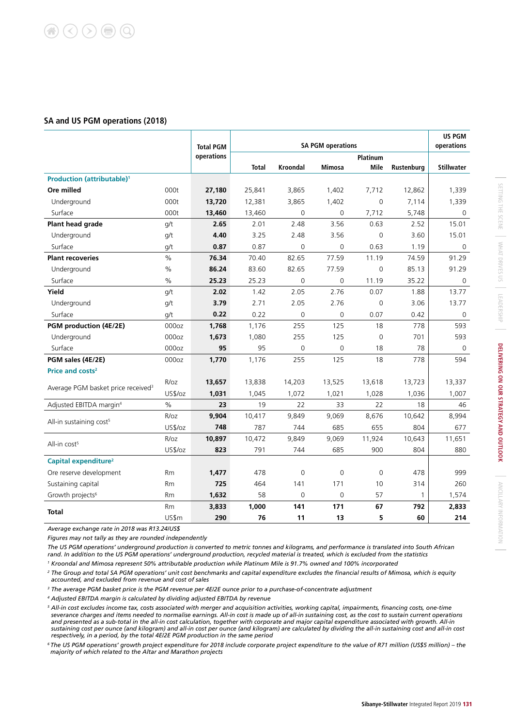### **SA and US PGM operations (2018)**

|                                                |                   | <b>Total PGM</b> |              |                 | <b>SA PGM operations</b> |                 |              | <b>US PGM</b><br>operations |
|------------------------------------------------|-------------------|------------------|--------------|-----------------|--------------------------|-----------------|--------------|-----------------------------|
|                                                |                   | operations       |              |                 |                          | <b>Platinum</b> |              |                             |
|                                                |                   |                  | <b>Total</b> | <b>Kroondal</b> | <b>Mimosa</b>            | Mile            | Rustenburg   | <b>Stillwater</b>           |
| <b>Production (attributable)<sup>1</sup></b>   |                   |                  |              |                 |                          |                 |              |                             |
| Ore milled                                     | 000t              | 27,180           | 25,841       | 3,865           | 1,402                    | 7,712           | 12,862       | 1,339                       |
| Underground                                    | 000t              | 13,720           | 12,381       | 3,865           | 1,402                    | $\mathbf 0$     | 7,114        | 1,339                       |
| Surface                                        | 000t              | 13,460           | 13,460       | $\mathbf 0$     | $\mathbf 0$              | 7,712           | 5,748        | $\mathbf 0$                 |
| Plant head grade                               | g/t               | 2.65             | 2.01         | 2.48            | 3.56                     | 0.63            | 2.52         | 15.01                       |
| Underground                                    | g/t               | 4.40             | 3.25         | 2.48            | 3.56                     | $\mathbf 0$     | 3.60         | 15.01                       |
| Surface                                        | q/t               | 0.87             | 0.87         | 0               | 0                        | 0.63            | 1.19         | 0                           |
| <b>Plant recoveries</b>                        | $\%$              | 76.34            | 70.40        | 82.65           | 77.59                    | 11.19           | 74.59        | 91.29                       |
| Underground                                    | $\%$              | 86.24            | 83.60        | 82.65           | 77.59                    | $\overline{0}$  | 85.13        | 91.29                       |
| Surface                                        | $\%$              | 25.23            | 25.23        | $\mathbf 0$     | $\mathbf 0$              | 11.19           | 35.22        | 0                           |
| Yield                                          | g/t               | 2.02             | 1.42         | 2.05            | 2.76                     | 0.07            | 1.88         | 13.77                       |
| Underground                                    | q/t               | 3.79             | 2.71         | 2.05            | 2.76                     | $\mathbf 0$     | 3.06         | 13.77                       |
| Surface                                        | g/t               | 0.22             | 0.22         | $\mathbf 0$     | $\mathbf 0$              | 0.07            | 0.42         | 0                           |
| PGM production (4E/2E)                         | 000 <sub>oz</sub> | 1,768            | 1,176        | 255             | 125                      | 18              | 778          | 593                         |
| Underground                                    | 000oz             | 1,673            | 1,080        | 255             | 125                      | $\overline{0}$  | 701          | 593                         |
| Surface                                        | 000oz             | 95               | 95           | 0               | $\mathbf 0$              | 18              | 78           | $\Omega$                    |
| PGM sales (4E/2E)                              | 000oz             | 1,770            | 1,176        | 255             | 125                      | 18              | 778          | 594                         |
| Price and costs <sup>2</sup>                   |                   |                  |              |                 |                          |                 |              |                             |
|                                                | R/oz              | 13,657           | 13,838       | 14,203          | 13,525                   | 13,618          | 13,723       | 13,337                      |
| Average PGM basket price received <sup>3</sup> | US\$/oz           | 1,031            | 1,045        | 1,072           | 1,021                    | 1,028           | 1,036        | 1,007                       |
| Adjusted EBITDA margin <sup>4</sup>            | $\%$              | 23               | 19           | 22              | 33                       | 22              | 18           | 46                          |
|                                                | R/oz              | 9,904            | 10,417       | 9,849           | 9,069                    | 8,676           | 10,642       | 8,994                       |
| All-in sustaining cost <sup>5</sup>            | US\$/oz           | 748              | 787          | 744             | 685                      | 655             | 804          | 677                         |
|                                                | R/oz              | 10,897           | 10,472       | 9,849           | 9,069                    | 11,924          | 10,643       | 11,651                      |
| All-in cost <sup>5</sup>                       | US\$/oz           | 823              | 791          | 744             | 685                      | 900             | 804          | 880                         |
| Capital expenditure <sup>2</sup>               |                   |                  |              |                 |                          |                 |              |                             |
| Ore reserve development                        | <b>Rm</b>         | 1,477            | 478          | $\Omega$        | 0                        | $\Omega$        | 478          | 999                         |
| Sustaining capital                             | <b>Rm</b>         | 725              | 464          | 141             | 171                      | 10              | 314          | 260                         |
| Growth projects <sup>6</sup>                   | <b>Rm</b>         | 1,632            | 58           | 0               | $\mathbf 0$              | 57              | $\mathbf{1}$ | 1,574                       |
|                                                | <b>Rm</b>         | 3,833            | 1,000        | 141             | 171                      | 67              | 792          | 2,833                       |
| <b>Total</b>                                   | US\$m             | 290              | 76           | 11              | 13                       | 5               | 60           | 214                         |

*Average exchange rate in 2018 was R13.24/US\$*

*Figures may not tally as they are rounded independently*

*The US PGM operations' underground production is converted to metric tonnes and kilograms, and performance is translated into South African rand. In addition to the US PGM operations' underground production, recycled material is treated, which is excluded from the statistics* 

*1 Kroondal and Mimosa represent 50% attributable production while Platinum Mile is 91.7% owned and 100% incorporated*

*<sup>2</sup> The Group and total SA PGM operations' unit cost benchmarks and capital expenditure excludes the financial results of Mimosa, which is equity accounted, and excluded from revenue and cost of sales*

<sup>3</sup> The average PGM basket price is the PGM revenue per 4E/2E ounce prior to a purchase-of-concentrate adjustment

*4 Adjusted EBITDA margin is calculated by dividing adjusted EBITDA by revenue*

*<sup>5</sup> All-in cost excludes income tax, costs associated with merger and acquisition activities, working capital, impairments, financing costs, one-time severance charges and items needed to normalise earnings. All-in cost is made up of all-in sustaining cost, as the cost to sustain current operations and presented as a sub-total in the all-in cost calculation, together with corporate and major capital expenditure associated with growth. All-in*  sustaining cost per ounce (and kilogram) and all-in cost per ounce (and kilogram) are calculated by dividing the all-in sustaining cost and all-in cost *respectively, in a period, by the total 4E/2E PGM production in the same period*

*6 The US PGM operations' growth project expenditure for 2018 include corporate project expenditure to the value of R71 million (US\$5 million) – the majority of which related to the Altar and Marathon projects*

ANCILLARY INFORMATION

ANCILLARY INFORMATION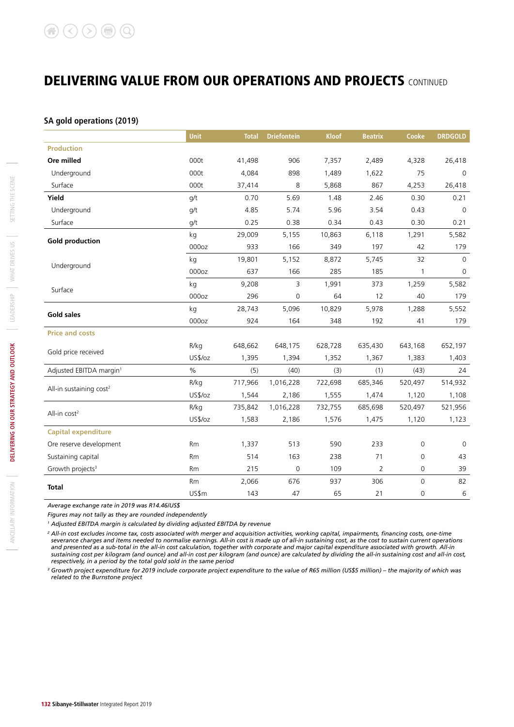### **SA gold operations (2019)**

|                                     | <b>Unit</b> | <b>Total</b> | <b>Driefontein</b>  | <b>Kloof</b> | <b>Beatrix</b> | Cooke               | <b>DRDGOLD</b> |
|-------------------------------------|-------------|--------------|---------------------|--------------|----------------|---------------------|----------------|
| <b>Production</b>                   |             |              |                     |              |                |                     |                |
| Ore milled                          | 000t        | 41,498       | 906                 | 7,357        | 2,489          | 4,328               | 26,418         |
| Underground                         | 000t        | 4,084        | 898                 | 1,489        | 1,622          | 75                  | $\mathbf 0$    |
| Surface                             | 000t        | 37,414       | 8                   | 5,868        | 867            | 4,253               | 26,418         |
| Yield                               | q/t         | 0.70         | 5.69                | 1.48         | 2.46           | 0.30                | 0.21           |
| Underground                         | g/t         | 4.85         | 5.74                | 5.96         | 3.54           | 0.43                | $\mathbf 0$    |
| Surface                             | q/t         | 0.25         | 0.38                | 0.34         | 0.43           | 0.30                | 0.21           |
| <b>Gold production</b>              | kg          | 29,009       | 5,155               | 10,863       | 6,118          | 1,291               | 5,582          |
|                                     | 000oz       | 933          | 166                 | 349          | 197            | 42                  | 179            |
| Underground                         | kg          | 19,801       | 5,152               | 8,872        | 5,745          | 32                  | $\Omega$       |
|                                     | 000oz       | 637          | 166                 | 285          | 185            | $\mathbf{1}$        | $\mathbf 0$    |
| Surface                             | kg          | 9,208        | 3                   | 1,991        | 373            | 1,259               | 5,582          |
|                                     | 000oz       | 296          | 0                   | 64           | 12             | 40                  | 179            |
| Gold sales                          | kg          | 28,743       | 5,096               | 10,829       | 5,978          | 1,288               | 5,552          |
|                                     | 000oz       | 924          | 164                 | 348          | 192            | 41                  | 179            |
| <b>Price and costs</b>              |             |              |                     |              |                |                     |                |
| Gold price received                 | R/kg        | 648,662      | 648,175             | 628,728      | 635,430        | 643,168             | 652,197        |
|                                     | US\$/oz     | 1,395        | 1,394               | 1,352        | 1,367          | 1,383               | 1,403          |
| Adjusted EBITDA margin <sup>1</sup> | $\%$        | (5)          | (40)                | (3)          | (1)            | (43)                | 24             |
| All-in sustaining cost <sup>2</sup> | R/kg        | 717,966      | 1,016,228           | 722,698      | 685,346        | 520,497             | 514,932        |
|                                     | US\$/oz     | 1,544        | 2,186               | 1,555        | 1,474          | 1,120               | 1,108          |
| All-in cost <sup>2</sup>            | R/kg        | 735,842      | 1,016,228           | 732,755      | 685,698        | 520,497             | 521,956        |
|                                     | US\$/oz     | 1,583        | 2,186               | 1,576        | 1,475          | 1,120               | 1,123          |
| <b>Capital expenditure</b>          |             |              |                     |              |                |                     |                |
| Ore reserve development             | Rm          | 1,337        | 513                 | 590          | 233            | $\mathsf{O}\xspace$ | $\mathbf 0$    |
| Sustaining capital                  | Rm          | 514          | 163                 | 238          | 71             | $\mathbf 0$         | 43             |
| Growth projects <sup>3</sup>        | Rm          | 215          | $\mathsf{O}\xspace$ | 109          | $\overline{2}$ | 0                   | 39             |
| <b>Total</b>                        | Rm          | 2,066        | 676                 | 937          | 306            | $\mathsf{O}\xspace$ | 82             |
|                                     | US\$m       | 143          | 47                  | 65           | 21             | $\mathbf 0$         | $\sqrt{6}$     |

*Average exchange rate in 2019 was R14.46/US\$*

*Figures may not tally as they are rounded independently*

*1 Adjusted EBITDA margin is calculated by dividing adjusted EBITDA by revenue*

*<sup>2</sup> All-in cost excludes income tax, costs associated with merger and acquisition activities, working capital, impairments, financing costs, one-time severance charges and items needed to normalise earnings. All-in cost is made up of all-in sustaining cost, as the cost to sustain current operations and presented as a sub-total in the all-in cost calculation, together with corporate and major capital expenditure associated with growth. All-in*  sustaining cost per kilogram (and ounce) and all-in cost per kilogram (and ounce) are calculated by dividing the all-in sustaining cost and all-in cost, *respectively, in a period by the total gold sold in the same period*

*<sup>3</sup> Growth project expenditure for 2019 include corporate project expenditure to the value of R65 million (US\$5 million) – the majority of which was related to the Burnstone project*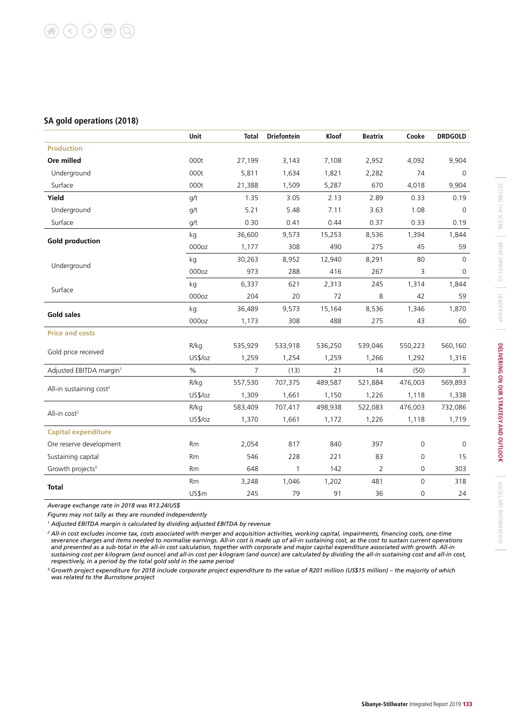### **SA gold operations (2018)**

|                                     | Unit    | <b>Total</b>   | <b>Driefontein</b> | Kloof   | Beatrix        | Cooke       | <b>DRDGOLD</b> |
|-------------------------------------|---------|----------------|--------------------|---------|----------------|-------------|----------------|
| <b>Production</b>                   |         |                |                    |         |                |             |                |
| Ore milled                          | 000t    | 27,199         | 3,143              | 7,108   | 2,952          | 4,092       | 9,904          |
| Underground                         | 000t    | 5,811          | 1,634              | 1,821   | 2,282          | 74          | $\Omega$       |
| Surface                             | 000t    | 21,388         | 1,509              | 5,287   | 670            | 4,018       | 9,904          |
| Yield                               | q/t     | 1.35           | 3.05               | 2.13    | 2.89           | 0.33        | 0.19           |
| Underground                         | g/t     | 5.21           | 5.48               | 7.11    | 3.63           | 1.08        | $\mathbf 0$    |
| Surface                             | q/t     | 0.30           | 0.41               | 0.44    | 0.37           | 0.33        | 0.19           |
|                                     | kg      | 36,600         | 9,573              | 15,253  | 8,536          | 1,394       | 1,844          |
| <b>Gold production</b>              | 000oz   | 1,177          | 308                | 490     | 275            | 45          | 59             |
|                                     | kg      | 30,263         | 8,952              | 12,940  | 8,291          | 80          | $\Omega$       |
| Underground                         | 000oz   | 973            | 288                | 416     | 267            | 3           | 0              |
| Surface                             | kg      | 6,337          | 621                | 2,313   | 245            | 1,314       | 1,844          |
|                                     | 000oz   | 204            | 20                 | 72      | 8              | 42          | 59             |
|                                     | kg      | 36,489         | 9,573              | 15,164  | 8,536          | 1,346       | 1,870          |
| <b>Gold sales</b>                   | 000oz   | 1,173          | 308                | 488     | 275            | 43          | 60             |
| <b>Price and costs</b>              |         |                |                    |         |                |             |                |
|                                     | R/kg    | 535,929        | 533,918            | 536,250 | 539,046        | 550,223     | 560,160        |
| Gold price received                 | US\$/oz | 1,259          | 1,254              | 1,259   | 1,266          | 1,292       | 1,316          |
| Adjusted EBITDA margin <sup>1</sup> | $\%$    | $\overline{7}$ | (13)               | 21      | 14             | (50)        | 3              |
|                                     | R/kg    | 557,530        | 707,375            | 489,587 | 521,884        | 476,003     | 569,893        |
| All-in sustaining cost <sup>2</sup> | US\$/oz | 1,309          | 1,661              | 1,150   | 1,226          | 1,118       | 1,338          |
| All-in cost <sup>2</sup>            | R/kg    | 583,409        | 707,417            | 498,938 | 522,083        | 476,003     | 732,086        |
|                                     | US\$/oz | 1,370          | 1,661              | 1,172   | 1,226          | 1,118       | 1,719          |
| <b>Capital expenditure</b>          |         |                |                    |         |                |             |                |
| Ore reserve development             | Rm      | 2,054          | 817                | 840     | 397            | 0           | 0              |
| Sustaining capital                  | Rm      | 546            | 228                | 221     | 83             | 0           | 15             |
| Growth projects <sup>3</sup>        | Rm      | 648            | 1                  | 142     | $\overline{2}$ | 0           | 303            |
| <b>Total</b>                        | Rm      | 3,248          | 1,046              | 1,202   | 481            | $\mathsf 0$ | 318            |
|                                     | US\$m   | 245            | 79                 | 91      | 36             | 0           | 24             |

*Average exchange rate in 2018 was R13.24/US\$*

*Figures may not tally as they are rounded independently*

*1 Adjusted EBITDA margin is calculated by dividing adjusted EBITDA by revenue*

*<sup>2</sup> All-in cost excludes income tax, costs associated with merger and acquisition activities, working capital, impairments, financing costs, one-time severance charges and items needed to normalise earnings. All-in cost is made up of all-in sustaining cost, as the cost to sustain current operations and presented as a sub-total in the all-in cost calculation, together with corporate and major capital expenditure associated with growth. All-in*  sustaining cost per kilogram (and ounce) and all-in cost per kilogram (and ounce) are calculated by dividing the all-in sustaining cost and all-in cost, *respectively, in a period by the total gold sold in the same period*

*<sup>3</sup> Growth project expenditure for 2018 include corporate project expenditure to the value of R201 million (US\$15 million) – the majority of which was related to the Burnstone project*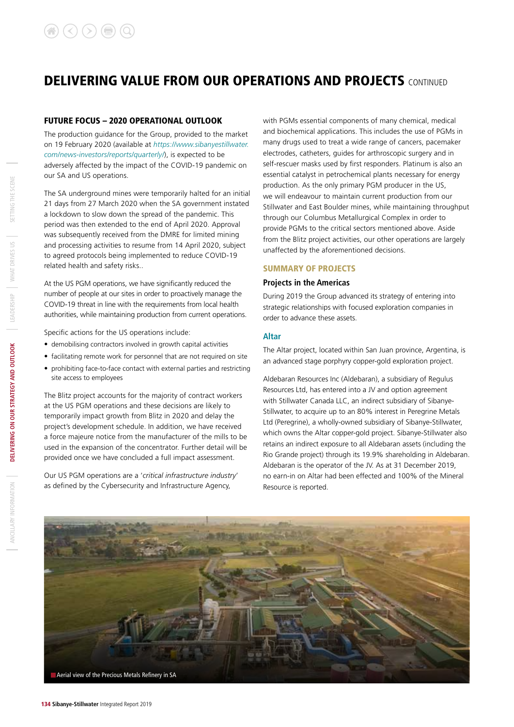### FUTURE FOCUS – 2020 OPERATIONAL OUTLOOK

The production guidance for the Group, provided to the market on 19 February 2020 (available at *https://www.sibanyestillwater. com/news-investors/reports/quarterly/*), is expected to be adversely affected by the impact of the COVID-19 pandemic on our SA and US operations.

The SA underground mines were temporarily halted for an initial 21 days from 27 March 2020 when the SA government instated a lockdown to slow down the spread of the pandemic. This period was then extended to the end of April 2020. Approval was subsequently received from the DMRE for limited mining and processing activities to resume from 14 April 2020, subject to agreed protocols being implemented to reduce COVID-19 related health and safety risks..

At the US PGM operations, we have significantly reduced the number of people at our sites in order to proactively manage the COVID-19 threat in line with the requirements from local health authorities, while maintaining production from current operations.

Specific actions for the US operations include:

- demobilising contractors involved in growth capital activities
- facilitating remote work for personnel that are not required on site
- prohibiting face-to-face contact with external parties and restricting site access to employees

The Blitz project accounts for the majority of contract workers at the US PGM operations and these decisions are likely to temporarily impact growth from Blitz in 2020 and delay the project's development schedule. In addition, we have received a force majeure notice from the manufacturer of the mills to be used in the expansion of the concentrator. Further detail will be provided once we have concluded a full impact assessment.

Our US PGM operations are a '*critical infrastructure industry*' as defined by the Cybersecurity and Infrastructure Agency,

with PGMs essential components of many chemical, medical and biochemical applications. This includes the use of PGMs in many drugs used to treat a wide range of cancers, pacemaker electrodes, catheters, guides for arthroscopic surgery and in self-rescuer masks used by first responders. Platinum is also an essential catalyst in petrochemical plants necessary for energy production. As the only primary PGM producer in the US, we will endeavour to maintain current production from our Stillwater and East Boulder mines, while maintaining throughput through our Columbus Metallurgical Complex in order to provide PGMs to the critical sectors mentioned above. Aside from the Blitz project activities, our other operations are largely unaffected by the aforementioned decisions.

### SUMMARY OF PROJECTS

### **Projects in the Americas**

During 2019 the Group advanced its strategy of entering into strategic relationships with focused exploration companies in order to advance these assets.

### **Altar**

The Altar project, located within San Juan province, Argentina, is an advanced stage porphyry copper-gold exploration project.

Aldebaran Resources Inc (Aldebaran), a subsidiary of Regulus Resources Ltd, has entered into a JV and option agreement with Stillwater Canada LLC, an indirect subsidiary of Sibanye-Stillwater, to acquire up to an 80% interest in Peregrine Metals Ltd (Peregrine), a wholly-owned subsidiary of Sibanye-Stillwater, which owns the Altar copper-gold project. Sibanye-Stillwater also retains an indirect exposure to all Aldebaran assets (including the Rio Grande project) through its 19.9% shareholding in Aldebaran. Aldebaran is the operator of the JV. As at 31 December 2019, no earn-in on Altar had been effected and 100% of the Mineral Resource is reported.

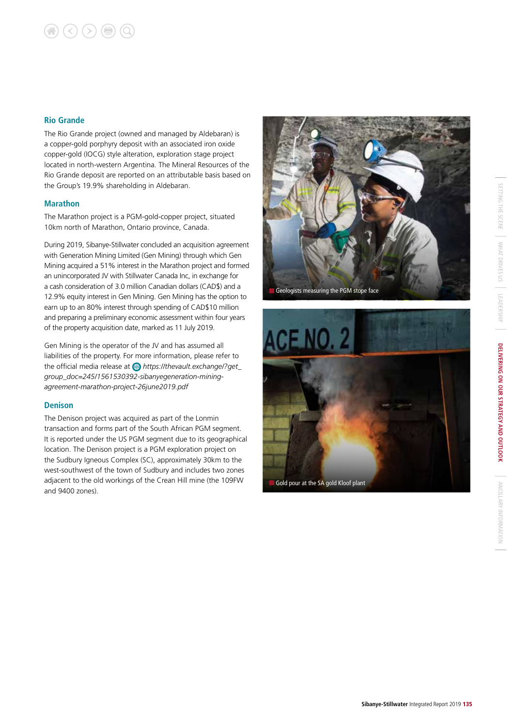# $\bigcirc$   $\bigcirc$   $\bigcirc$   $\bigcirc$   $\bigcirc$

### **Rio Grande**

The Rio Grande project (owned and managed by Aldebaran) is a copper-gold porphyry deposit with an associated iron oxide copper-gold (IOCG) style alteration, exploration stage project located in north-western Argentina. The Mineral Resources of the Rio Grande deposit are reported on an attributable basis based on the Group's 19.9% shareholding in Aldebaran.

### **Marathon**

The Marathon project is a PGM-gold-copper project, situated 10km north of Marathon, Ontario province, Canada.

During 2019, Sibanye-Stillwater concluded an acquisition agreement with Generation Mining Limited (Gen Mining) through which Gen Mining acquired a 51% interest in the Marathon project and formed an unincorporated JV with Stillwater Canada Inc, in exchange for a cash consideration of 3.0 million Canadian dollars (CAD\$) and a 12.9% equity interest in Gen Mining. Gen Mining has the option to earn up to an 80% interest through spending of CAD\$10 million and preparing a preliminary economic assessment within four years of the property acquisition date, marked as 11 July 2019.

Gen Mining is the operator of the JV and has assumed all liabilities of the property. For more information, please refer to the official media release at *https://thevault.exchange/?get\_ group\_doc=245/1561530392-sibanyegeneration-miningagreement-marathon-project-26june2019.pdf* 

### **Denison**

The Denison project was acquired as part of the Lonmin transaction and forms part of the South African PGM segment. It is reported under the US PGM segment due to its geographical location. The Denison project is a PGM exploration project on the Sudbury Igneous Complex (SC), approximately 30km to the west-southwest of the town of Sudbury and includes two zones adjacent to the old workings of the Crean Hill mine (the 109FW and 9400 zones).



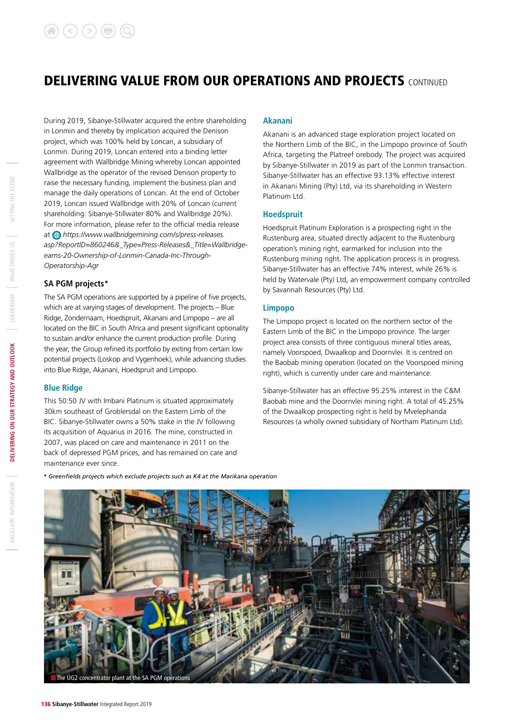During 2019, Sibanye-Stillwater acquired the entire shareholding in Lonmin and thereby by implication acquired the Denison project, which was 100% held by Loncan, a subsidiary of Lonmin. During 2019, Loncan entered into a binding letter agreement with Wallbridge Mining whereby Loncan appointed Wallbridge as the operator of the revised Denison property to raise the necessary funding, implement the business plan and manage the daily operations of Loncan. At the end of October 2019, Loncan issued Wallbridge with 20% of Loncan (current shareholding: Sibanye-Stillwater 80% and Wallbridge 20%). For more information, please refer to the official media release at *https://www.wallbridgemining.com/s/press-releases. asp?ReportID=860246&\_Type=Press-Releases&\_Title=Wallbridgeearns-20-Ownership-of-Lonmin-Canada-Inc-Through-Operatorship-Agr*

### **SA PGM projects\***

The SA PGM operations are supported by a pipeline of five projects, which are at varying stages of development. The projects – Blue Ridge, Zondernaam, Hoedspruit, Akanani and Limpopo – are all located on the BIC in South Africa and present significant optionality to sustain and/or enhance the current production profile. During the year, the Group refined its portfolio by exiting from certain low potential projects (Loskop and Vygenhoek), while advancing studies into Blue Ridge, Akanani, Hoedspruit and Limpopo.

### **Blue Ridge**

This 50:50 JV with Imbani Platinum is situated approximately 30km southeast of Groblersdal on the Eastern Limb of the BIC. Sibanye-Stillwater owns a 50% stake in the JV following its acquisition of Aquarius in 2016. The mine, constructed in 2007, was placed on care and maintenance in 2011 on the back of depressed PGM prices, and has remained on care and maintenance ever since.

### **Akanani**

Akanani is an advanced stage exploration project located on the Northern Limb of the BIC, in the Limpopo province of South Africa, targeting the Platreef orebody. The project was acquired by Sibanye-Stillwater in 2019 as part of the Lonmin transaction. Sibanye-Stillwater has an effective 93.13% effective interest in Akanani Mining (Pty) Ltd, via its shareholding in Western Platinum Ltd.

### **Hoedspruit**

Hoedspruit Platinum Exploration is a prospecting right in the Rustenburg area, situated directly adjacent to the Rustenburg operation's mining right, earmarked for inclusion into the Rustenburg mining right. The application process is in progress. Sibanye-Stillwater has an effective 74% interest, while 26% is held by Watervale (Pty) Ltd, an empowerment company controlled by Savannah Resources (Pty) Ltd.

### **Limpopo**

The Limpopo project is located on the northern sector of the Eastern Limb of the BIC in the Limpopo province. The larger project area consists of three contiguous mineral titles areas, namely Voorspoed, Dwaalkop and Doornvlei. It is centred on the Baobab mining operation (located on the Voorspoed mining right), which is currently under care and maintenance.

Sibanye-Stillwater has an effective 95.25% interest in the C&M Baobab mine and the Doornvlei mining right. A total of 45.25% of the Dwaalkop prospecting right is held by Mvelephanda Resources (a wholly owned subsidiary of Northam Platinum Ltd).

*\* Greenfields projects which exclude projects such as K4 at the Marikana operation*